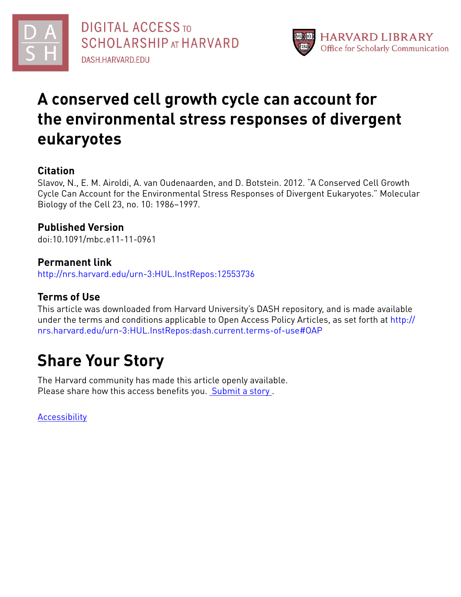



# **A conserved cell growth cycle can account for the environmental stress responses of divergent eukaryotes**

# **Citation**

Slavov, N., E. M. Airoldi, A. van Oudenaarden, and D. Botstein. 2012. "A Conserved Cell Growth Cycle Can Account for the Environmental Stress Responses of Divergent Eukaryotes." Molecular Biology of the Cell 23, no. 10: 1986–1997.

# **Published Version**

doi:10.1091/mbc.e11-11-0961

## **Permanent link**

<http://nrs.harvard.edu/urn-3:HUL.InstRepos:12553736>

# **Terms of Use**

This article was downloaded from Harvard University's DASH repository, and is made available under the terms and conditions applicable to Open Access Policy Articles, as set forth at [http://](http://nrs.harvard.edu/urn-3:HUL.InstRepos:dash.current.terms-of-use#OAP) [nrs.harvard.edu/urn-3:HUL.InstRepos:dash.current.terms-of-use#OAP](http://nrs.harvard.edu/urn-3:HUL.InstRepos:dash.current.terms-of-use#OAP)

# **Share Your Story**

The Harvard community has made this article openly available. Please share how this access benefits you. [Submit](http://osc.hul.harvard.edu/dash/open-access-feedback?handle=&title=A%20conserved%20cell%20growth%20cycle%20can%20account%20for%20the%20environmental%20stress%20responses%20of%20divergent%20eukaryotes&community=1/1&collection=1/2&owningCollection1/2&harvardAuthors=d494534bad636df7589f923e8cfd5012&departmentStatistics) a story.

[Accessibility](https://dash.harvard.edu/pages/accessibility)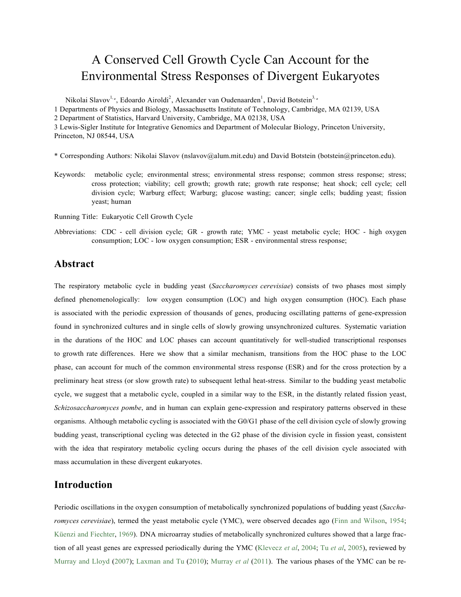# A Conserved Cell Growth Cycle Can Account for the Environmental Stress Responses of Divergent Eukaryotes

Nikolai Slavov<sup>1,</sup><sup>\*</sup>, Edoardo Airoldi<sup>2</sup>, Alexander van Oudenaarden<sup>1</sup>, David Botstein<sup>3,</sup>\* 1 Departments of Physics and Biology, Massachusetts Institute of Technology, Cambridge, MA 02139, USA 2 Department of Statistics, Harvard University, Cambridge, MA 02138, USA 3 Lewis-Sigler Institute for Integrative Genomics and Department of Molecular Biology, Princeton University, Princeton, NJ 08544, USA

- \* Corresponding Authors: Nikolai Slavov (nslavov@alum.mit.edu) and David Botstein (botstein@princeton.edu).
- Keywords: metabolic cycle; environmental stress; environmental stress response; common stress response; stress; cross protection; viability; cell growth; growth rate; growth rate response; heat shock; cell cycle; cell division cycle; Warburg effect; Warburg; glucose wasting; cancer; single cells; budding yeast; fission yeast; human
- Running Title: Eukaryotic Cell Growth Cycle
- Abbreviations: CDC cell division cycle; GR growth rate; YMC yeast metabolic cycle; HOC high oxygen consumption; LOC - low oxygen consumption; ESR - environmental stress response;

## **Abstract**

The respiratory metabolic cycle in budding yeast (*Saccharomyces cerevisiae*) consists of two phases most simply defined phenomenologically: low oxygen consumption (LOC) and high oxygen consumption (HOC). Each phase is associated with the periodic expression of thousands of genes, producing oscillating patterns of gene-expression found in synchronized cultures and in single cells of slowly growing unsynchronized cultures. Systematic variation in the durations of the HOC and LOC phases can account quantitatively for well-studied transcriptional responses to growth rate differences. Here we show that a similar mechanism, transitions from the HOC phase to the LOC phase, can account for much of the common environmental stress response (ESR) and for the cross protection by a preliminary heat stress (or slow growth rate) to subsequent lethal heat-stress. Similar to the budding yeast metabolic cycle, we suggest that a metabolic cycle, coupled in a similar way to the ESR, in the distantly related fission yeast, *Schizosaccharomyces pombe*, and in human can explain gene-expression and respiratory patterns observed in these organisms. Although metabolic cycling is associated with the G0/G1 phase of the cell division cycle of slowly growing budding yeast, transcriptional cycling was detected in the G2 phase of the division cycle in fission yeast, consistent with the idea that respiratory metabolic cycling occurs during the phases of the cell division cycle associated with mass accumulation in these divergent eukaryotes.

## **Introduction**

Periodic oscillations in the oxygen consumption of metabolically synchronized populations of budding yeast (*Saccharomyces cerevisiae*), termed the yeast metabolic cycle (YMC), were observed decades ago (Finn and Wilson, 1954; Küenzi and Fiechter, 1969). DNA microarray studies of metabolically synchronized cultures showed that a large fraction of all yeast genes are expressed periodically during the YMC (Klevecz *et al*, 2004; Tu *et al*, 2005), reviewed by Murray and Lloyd (2007); Laxman and Tu (2010); Murray *et al* (2011). The various phases of the YMC can be re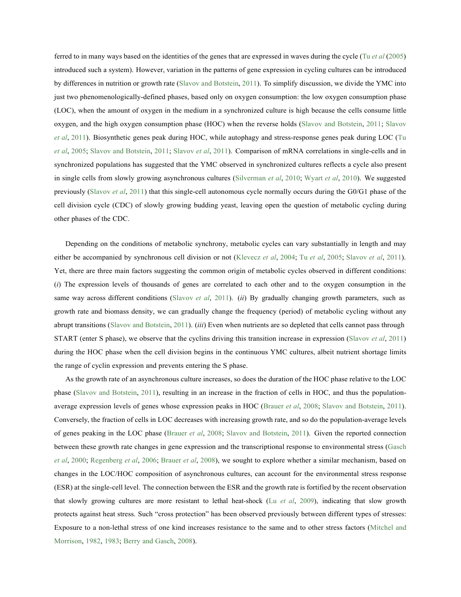ferred to in many ways based on the identities of the genes that are expressed in waves during the cycle (Tu *et al* (2005) introduced such a system). However, variation in the patterns of gene expression in cycling cultures can be introduced by differences in nutrition or growth rate (Slavov and Botstein, 2011). To simplify discussion, we divide the YMC into just two phenomenologically-defined phases, based only on oxygen consumption: the low oxygen consumption phase (LOC), when the amount of oxygen in the medium in a synchronized culture is high because the cells consume little oxygen, and the high oxygen consumption phase (HOC) when the reverse holds (Slavov and Botstein, 2011; Slavov *et al*, 2011). Biosynthetic genes peak during HOC, while autophagy and stress-response genes peak during LOC (Tu *et al*, 2005; Slavov and Botstein, 2011; Slavov *et al*, 2011). Comparison of mRNA correlations in single-cells and in synchronized populations has suggested that the YMC observed in synchronized cultures reflects a cycle also present in single cells from slowly growing asynchronous cultures (Silverman *et al*, 2010; Wyart *et al*, 2010). We suggested previously (Slavov *et al*, 2011) that this single-cell autonomous cycle normally occurs during the G0/G1 phase of the cell division cycle (CDC) of slowly growing budding yeast, leaving open the question of metabolic cycling during other phases of the CDC.

Depending on the conditions of metabolic synchrony, metabolic cycles can vary substantially in length and may either be accompanied by synchronous cell division or not (Klevecz *et al*, 2004; Tu *et al*, 2005; Slavov *et al*, 2011). Yet, there are three main factors suggesting the common origin of metabolic cycles observed in different conditions: (*i*) The expression levels of thousands of genes are correlated to each other and to the oxygen consumption in the same way across different conditions (Slavov *et al*, 2011). (*ii*) By gradually changing growth parameters, such as growth rate and biomass density, we can gradually change the frequency (period) of metabolic cycling without any abrupt transitions (Slavov and Botstein, 2011). (*iii*) Even when nutrients are so depleted that cells cannot pass through START (enter S phase), we observe that the cyclins driving this transition increase in expression (Slavov *et al*, 2011) during the HOC phase when the cell division begins in the continuous YMC cultures, albeit nutrient shortage limits the range of cyclin expression and prevents entering the S phase.

As the growth rate of an asynchronous culture increases, so does the duration of the HOC phase relative to the LOC phase (Slavov and Botstein, 2011), resulting in an increase in the fraction of cells in HOC, and thus the populationaverage expression levels of genes whose expression peaks in HOC (Brauer *et al*, 2008; Slavov and Botstein, 2011). Conversely, the fraction of cells in LOC decreases with increasing growth rate, and so do the population-average levels of genes peaking in the LOC phase (Brauer *et al*, 2008; Slavov and Botstein, 2011). Given the reported connection between these growth rate changes in gene expression and the transcriptional response to environmental stress (Gasch *et al*, 2000; Regenberg *et al*, 2006; Brauer *et al*, 2008), we sought to explore whether a similar mechanism, based on changes in the LOC/HOC composition of asynchronous cultures, can account for the environmental stress response (ESR) at the single-cell level. The connection between the ESR and the growth rate is fortified by the recent observation that slowly growing cultures are more resistant to lethal heat-shock (Lu *et al*, 2009), indicating that slow growth protects against heat stress. Such "cross protection" has been observed previously between different types of stresses: Exposure to a non-lethal stress of one kind increases resistance to the same and to other stress factors (Mitchel and Morrison, 1982, 1983; Berry and Gasch, 2008).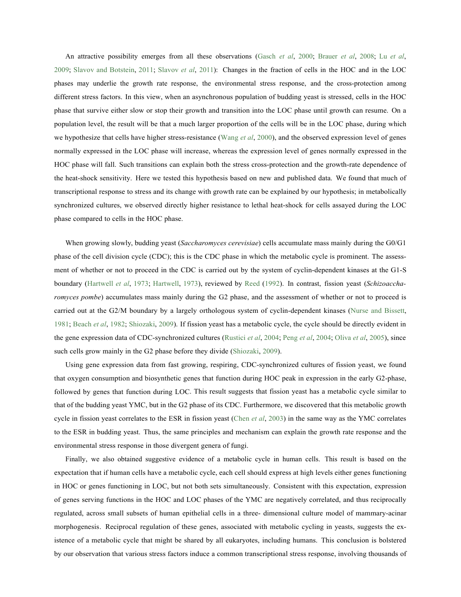An attractive possibility emerges from all these observations (Gasch *et al*, 2000; Brauer *et al*, 2008; Lu *et al*, 2009; Slavov and Botstein, 2011; Slavov *et al*, 2011): Changes in the fraction of cells in the HOC and in the LOC phases may underlie the growth rate response, the environmental stress response, and the cross-protection among different stress factors. In this view, when an asynchronous population of budding yeast is stressed, cells in the HOC phase that survive either slow or stop their growth and transition into the LOC phase until growth can resume. On a population level, the result will be that a much larger proportion of the cells will be in the LOC phase, during which we hypothesize that cells have higher stress-resistance (Wang *et al*, 2000), and the observed expression level of genes normally expressed in the LOC phase will increase, whereas the expression level of genes normally expressed in the HOC phase will fall. Such transitions can explain both the stress cross-protection and the growth-rate dependence of the heat-shock sensitivity. Here we tested this hypothesis based on new and published data. We found that much of transcriptional response to stress and its change with growth rate can be explained by our hypothesis; in metabolically synchronized cultures, we observed directly higher resistance to lethal heat-shock for cells assayed during the LOC phase compared to cells in the HOC phase.

When growing slowly, budding yeast (*Saccharomyces cerevisiae*) cells accumulate mass mainly during the G0/G1 phase of the cell division cycle (CDC); this is the CDC phase in which the metabolic cycle is prominent. The assessment of whether or not to proceed in the CDC is carried out by the system of cyclin-dependent kinases at the G1-S boundary (Hartwell *et al*, 1973; Hartwell, 1973), reviewed by Reed (1992). In contrast, fission yeast (*Schizoaccharomyces pombe*) accumulates mass mainly during the G2 phase, and the assessment of whether or not to proceed is carried out at the G2/M boundary by a largely orthologous system of cyclin-dependent kinases (Nurse and Bissett, 1981; Beach *et al*, 1982; Shiozaki, 2009). If fission yeast has a metabolic cycle, the cycle should be directly evident in the gene expression data of CDC-synchronized cultures (Rustici *et al*, 2004; Peng *et al*, 2004; Oliva *et al*, 2005), since such cells grow mainly in the G2 phase before they divide (Shiozaki, 2009).

Using gene expression data from fast growing, respiring, CDC-synchronized cultures of fission yeast, we found that oxygen consumption and biosynthetic genes that function during HOC peak in expression in the early G2-phase, followed by genes that function during LOC. This result suggests that fission yeast has a metabolic cycle similar to that of the budding yeast YMC, but in the G2 phase of its CDC. Furthermore, we discovered that this metabolic growth cycle in fission yeast correlates to the ESR in fission yeast (Chen *et al*, 2003) in the same way as the YMC correlates to the ESR in budding yeast. Thus, the same principles and mechanism can explain the growth rate response and the environmental stress response in those divergent genera of fungi.

Finally, we also obtained suggestive evidence of a metabolic cycle in human cells. This result is based on the expectation that if human cells have a metabolic cycle, each cell should express at high levels either genes functioning in HOC or genes functioning in LOC, but not both sets simultaneously. Consistent with this expectation, expression of genes serving functions in the HOC and LOC phases of the YMC are negatively correlated, and thus reciprocally regulated, across small subsets of human epithelial cells in a three- dimensional culture model of mammary-acinar morphogenesis. Reciprocal regulation of these genes, associated with metabolic cycling in yeasts, suggests the existence of a metabolic cycle that might be shared by all eukaryotes, including humans. This conclusion is bolstered by our observation that various stress factors induce a common transcriptional stress response, involving thousands of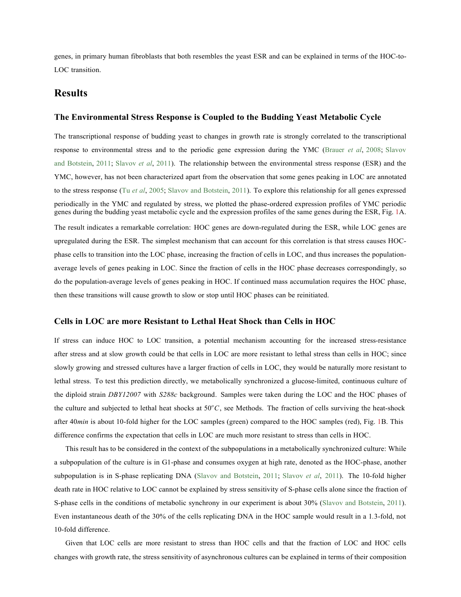genes, in primary human fibroblasts that both resembles the yeast ESR and can be explained in terms of the HOC-to-LOC transition.

## **Results**

### **The Environmental Stress Response is Coupled to the Budding Yeast Metabolic Cycle**

The transcriptional response of budding yeast to changes in growth rate is strongly correlated to the transcriptional response to environmental stress and to the periodic gene expression during the YMC (Brauer *et al*, 2008; Slavov and Botstein, 2011; Slavov *et al*, 2011). The relationship between the environmental stress response (ESR) and the YMC, however, has not been characterized apart from the observation that some genes peaking in LOC are annotated to the stress response (Tu *et al*, 2005; Slavov and Botstein, 2011). To explore this relationship for all genes expressed periodically in the YMC and regulated by stress, we plotted the phase-ordered expression profiles of YMC periodic genes during the budding yeast metabolic cycle and the expression profiles of the same genes during the ESR, Fig. 1A.

The result indicates a remarkable correlation: HOC genes are down-regulated during the ESR, while LOC genes are upregulated during the ESR. The simplest mechanism that can account for this correlation is that stress causes HOCphase cells to transition into the LOC phase, increasing the fraction of cells in LOC, and thus increases the populationaverage levels of genes peaking in LOC. Since the fraction of cells in the HOC phase decreases correspondingly, so do the population-average levels of genes peaking in HOC. If continued mass accumulation requires the HOC phase, then these transitions will cause growth to slow or stop until HOC phases can be reinitiated.

#### **Cells in LOC are more Resistant to Lethal Heat Shock than Cells in HOC**

If stress can induce HOC to LOC transition, a potential mechanism accounting for the increased stress-resistance after stress and at slow growth could be that cells in LOC are more resistant to lethal stress than cells in HOC; since slowly growing and stressed cultures have a larger fraction of cells in LOC, they would be naturally more resistant to lethal stress. To test this prediction directly, we metabolically synchronized a glucose-limited, continuous culture of the diploid strain *DBY12007* with *S288c* background. Samples were taken during the LOC and the HOC phases of the culture and subjected to lethal heat shocks at 50°C, see Methods. The fraction of cells surviving the heat-shock after 40*min* is about 10-fold higher for the LOC samples (green) compared to the HOC samples (red), Fig. 1B. This difference confirms the expectation that cells in LOC are much more resistant to stress than cells in HOC.

This result has to be considered in the context of the subpopulations in a metabolically synchronized culture: While a subpopulation of the culture is in G1-phase and consumes oxygen at high rate, denoted as the HOC-phase, another subpopulation is in S-phase replicating DNA (Slavov and Botstein, 2011; Slavov *et al*, 2011). The 10-fold higher death rate in HOC relative to LOC cannot be explained by stress sensitivity of S-phase cells alone since the fraction of S-phase cells in the conditions of metabolic synchrony in our experiment is about 30% (Slavov and Botstein, 2011). Even instantaneous death of the 30% of the cells replicating DNA in the HOC sample would result in a 1*.*3-fold, not 10-fold difference.

Given that LOC cells are more resistant to stress than HOC cells and that the fraction of LOC and HOC cells changes with growth rate, the stress sensitivity of asynchronous cultures can be explained in terms of their composition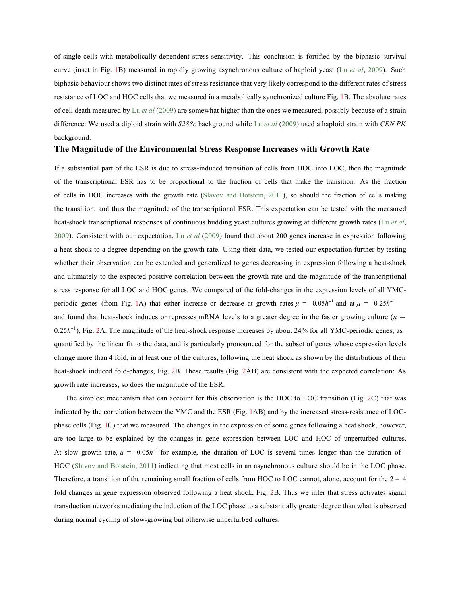of single cells with metabolically dependent stress-sensitivity. This conclusion is fortified by the biphasic survival curve (inset in Fig. 1B) measured in rapidly growing asynchronous culture of haploid yeast (Lu *et al*, 2009). Such biphasic behaviour shows two distinct rates of stress resistance that very likely correspond to the different rates of stress resistance of LOC and HOC cells that we measured in a metabolically synchronized culture Fig. 1B. The absolute rates of cell death measured by Lu *et al* (2009) are somewhat higher than the ones we measured, possibly because of a strain difference: We used a diploid strain with *S288c* background while Lu *et al* (2009) used a haploid strain with *CEN.PK*  background.

## **The Magnitude of the Environmental Stress Response Increases with Growth Rate**

If a substantial part of the ESR is due to stress-induced transition of cells from HOC into LOC, then the magnitude of the transcriptional ESR has to be proportional to the fraction of cells that make the transition. As the fraction of cells in HOC increases with the growth rate (Slavov and Botstein, 2011), so should the fraction of cells making the transition, and thus the magnitude of the transcriptional ESR. This expectation can be tested with the measured heat-shock transcriptional responses of continuous budding yeast cultures growing at different growth rates (Lu *et al*, 2009). Consistent with our expectation, Lu *et al* (2009) found that about 200 genes increase in expression following a heat-shock to a degree depending on the growth rate. Using their data, we tested our expectation further by testing whether their observation can be extended and generalized to genes decreasing in expression following a heat-shock and ultimately to the expected positive correlation between the growth rate and the magnitude of the transcriptional stress response for all LOC and HOC genes. We compared of the fold-changes in the expression levels of all YMCperiodic genes (from Fig. 1A) that either increase or decrease at growth rates  $\mu = 0.05h^{-1}$  and at  $\mu = 0.25h^{-1}$ and found that heat-shock induces or represses mRNA levels to a greater degree in the faster growing culture ( $\mu$  =  $0.25h^{-1}$ ), Fig. 2A. The magnitude of the heat-shock response increases by about 24% for all YMC-periodic genes, as quantified by the linear fit to the data, and is particularly pronounced for the subset of genes whose expression levels change more than 4 fold, in at least one of the cultures, following the heat shock as shown by the distributions of their heat-shock induced fold-changes, Fig. 2B. These results (Fig. 2AB) are consistent with the expected correlation: As growth rate increases, so does the magnitude of the ESR.

The simplest mechanism that can account for this observation is the HOC to LOC transition (Fig. 2C) that was indicated by the correlation between the YMC and the ESR (Fig. 1AB) and by the increased stress-resistance of LOCphase cells (Fig. 1C) that we measured. The changes in the expression of some genes following a heat shock, however, are too large to be explained by the changes in gene expression between LOC and HOC of unperturbed cultures. At slow growth rate,  $\mu = 0.05h^{-1}$  for example, the duration of LOC is several times longer than the duration of HOC (Slavov and Botstein, 2011) indicating that most cells in an asynchronous culture should be in the LOC phase. Therefore, a transition of the remaining small fraction of cells from HOC to LOC cannot, alone, account for the 2 *-* <sup>4</sup> fold changes in gene expression observed following a heat shock, Fig. 2B. Thus we infer that stress activates signal transduction networks mediating the induction of the LOC phase to a substantially greater degree than what is observed during normal cycling of slow-growing but otherwise unperturbed cultures.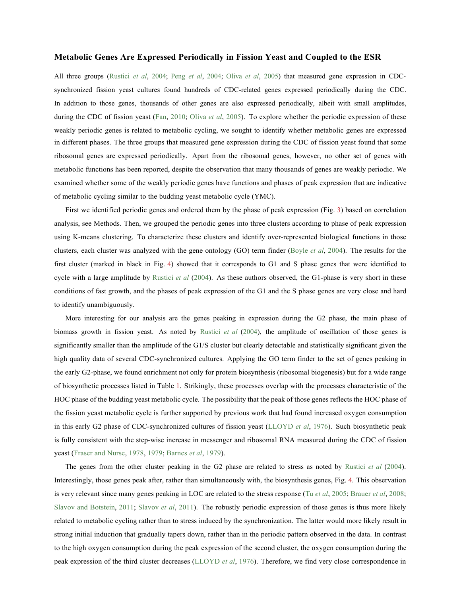#### **Metabolic Genes Are Expressed Periodically in Fission Yeast and Coupled to the ESR**

All three groups (Rustici *et al*, 2004; Peng *et al*, 2004; Oliva *et al*, 2005) that measured gene expression in CDCsynchronized fission yeast cultures found hundreds of CDC-related genes expressed periodically during the CDC. In addition to those genes, thousands of other genes are also expressed periodically, albeit with small amplitudes, during the CDC of fission yeast (Fan, 2010; Oliva *et al*, 2005). To explore whether the periodic expression of these weakly periodic genes is related to metabolic cycling, we sought to identify whether metabolic genes are expressed in different phases. The three groups that measured gene expression during the CDC of fission yeast found that some ribosomal genes are expressed periodically. Apart from the ribosomal genes, however, no other set of genes with metabolic functions has been reported, despite the observation that many thousands of genes are weakly periodic. We examined whether some of the weakly periodic genes have functions and phases of peak expression that are indicative of metabolic cycling similar to the budding yeast metabolic cycle (YMC).

First we identified periodic genes and ordered them by the phase of peak expression (Fig. 3) based on correlation analysis, see Methods. Then, we grouped the periodic genes into three clusters according to phase of peak expression using K-means clustering. To characterize these clusters and identify over-represented biological functions in those clusters, each cluster was analyzed with the gene ontology (GO) term finder (Boyle *et al*, 2004). The results for the first cluster (marked in black in Fig. 4) showed that it corresponds to G1 and S phase genes that were identified to cycle with a large amplitude by Rustici *et al* (2004). As these authors observed, the G1-phase is very short in these conditions of fast growth, and the phases of peak expression of the G1 and the S phase genes are very close and hard to identify unambiguously.

More interesting for our analysis are the genes peaking in expression during the G2 phase, the main phase of biomass growth in fission yeast. As noted by Rustici *et al* (2004), the amplitude of oscillation of those genes is significantly smaller than the amplitude of the G1/S cluster but clearly detectable and statistically significant given the high quality data of several CDC-synchronized cultures. Applying the GO term finder to the set of genes peaking in the early G2-phase, we found enrichment not only for protein biosynthesis (ribosomal biogenesis) but for a wide range of biosynthetic processes listed in Table 1. Strikingly, these processes overlap with the processes characteristic of the HOC phase of the budding yeast metabolic cycle. The possibility that the peak of those genes reflects the HOC phase of the fission yeast metabolic cycle is further supported by previous work that had found increased oxygen consumption in this early G2 phase of CDC-synchronized cultures of fission yeast (LLOYD *et al*, 1976). Such biosynthetic peak is fully consistent with the step-wise increase in messenger and ribosomal RNA measured during the CDC of fission yeast (Fraser and Nurse, 1978, 1979; Barnes *et al*, 1979).

The genes from the other cluster peaking in the G2 phase are related to stress as noted by Rustici *et al* (2004). Interestingly, those genes peak after, rather than simultaneously with, the biosynthesis genes, Fig. 4. This observation is very relevant since many genes peaking in LOC are related to the stress response (Tu *et al*, 2005; Brauer *et al*, 2008; Slavov and Botstein, 2011; Slavov *et al*, 2011). The robustly periodic expression of those genes is thus more likely related to metabolic cycling rather than to stress induced by the synchronization. The latter would more likely result in strong initial induction that gradually tapers down, rather than in the periodic pattern observed in the data. In contrast to the high oxygen consumption during the peak expression of the second cluster, the oxygen consumption during the peak expression of the third cluster decreases (LLOYD *et al*, 1976). Therefore, we find very close correspondence in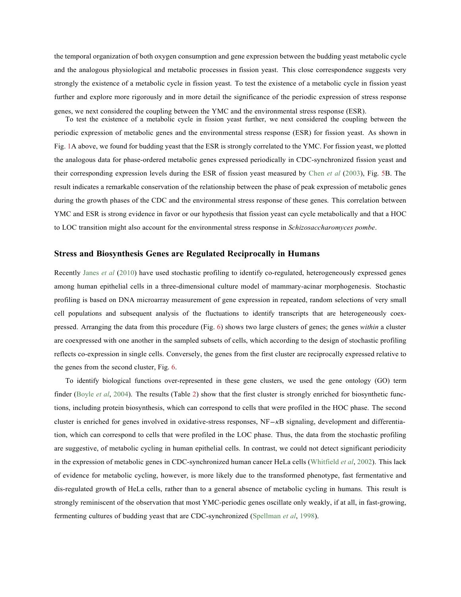the temporal organization of both oxygen consumption and gene expression between the budding yeast metabolic cycle and the analogous physiological and metabolic processes in fission yeast. This close correspondence suggests very strongly the existence of a metabolic cycle in fission yeast. To test the existence of a metabolic cycle in fission yeast further and explore more rigorously and in more detail the significance of the periodic expression of stress response genes, we next considered the coupling between the YMC and the environmental stress response (ESR).

To test the existence of a metabolic cycle in fission yeast further, we next considered the coupling between the periodic expression of metabolic genes and the environmental stress response (ESR) for fission yeast. As shown in Fig. 1A above, we found for budding yeast that the ESR is strongly correlated to the YMC. For fission yeast, we plotted the analogous data for phase-ordered metabolic genes expressed periodically in CDC-synchronized fission yeast and their corresponding expression levels during the ESR of fission yeast measured by Chen *et al* (2003), Fig. 5B. The result indicates a remarkable conservation of the relationship between the phase of peak expression of metabolic genes during the growth phases of the CDC and the environmental stress response of these genes. This correlation between YMC and ESR is strong evidence in favor or our hypothesis that fission yeast can cycle metabolically and that a HOC to LOC transition might also account for the environmental stress response in *Schizosaccharomyces pombe*.

#### **Stress and Biosynthesis Genes are Regulated Reciprocally in Humans**

Recently Janes *et al* (2010) have used stochastic profiling to identify co-regulated, heterogeneously expressed genes among human epithelial cells in a three-dimensional culture model of mammary-acinar morphogenesis. Stochastic profiling is based on DNA microarray measurement of gene expression in repeated, random selections of very small cell populations and subsequent analysis of the fluctuations to identify transcripts that are heterogeneously coexpressed. Arranging the data from this procedure (Fig. 6) shows two large clusters of genes; the genes *within* a cluster are coexpressed with one another in the sampled subsets of cells, which according to the design of stochastic profiling reflects co-expression in single cells. Conversely, the genes from the first cluster are reciprocally expressed relative to the genes from the second cluster, Fig. 6.

To identify biological functions over-represented in these gene clusters, we used the gene ontology (GO) term finder (Boyle *et al*, 2004). The results (Table 2) show that the first cluster is strongly enriched for biosynthetic functions, including protein biosynthesis, which can correspond to cells that were profiled in the HOC phase. The second cluster is enriched for genes involved in oxidative-stress responses, NF*-κ*B signaling, development and differentiation, which can correspond to cells that were profiled in the LOC phase. Thus, the data from the stochastic profiling are suggestive, of metabolic cycling in human epithelial cells. In contrast, we could not detect significant periodicity in the expression of metabolic genes in CDC-synchronized human cancer HeLa cells (Whitfield *et al*, 2002). This lack of evidence for metabolic cycling, however, is more likely due to the transformed phenotype, fast fermentative and dis-regulated growth of HeLa cells, rather than to a general absence of metabolic cycling in humans. This result is strongly reminiscent of the observation that most YMC-periodic genes oscillate only weakly, if at all, in fast-growing, fermenting cultures of budding yeast that are CDC-synchronized (Spellman *et al*, 1998).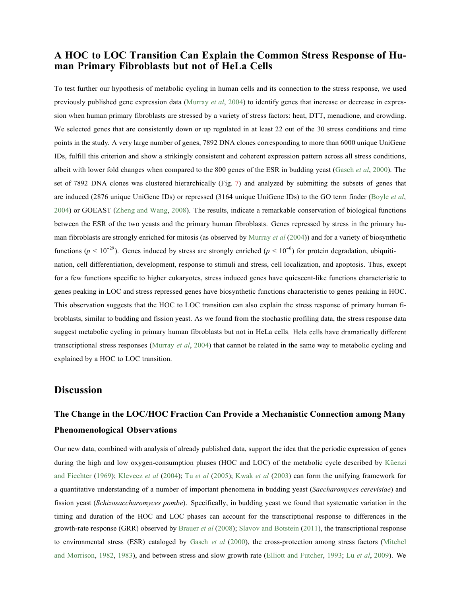## **A HOC to LOC Transition Can Explain the Common Stress Response of Human Primary Fibroblasts but not of HeLa Cells**

To test further our hypothesis of metabolic cycling in human cells and its connection to the stress response, we used previously published gene expression data (Murray *et al*, 2004) to identify genes that increase or decrease in expression when human primary fibroblasts are stressed by a variety of stress factors: heat, DTT, menadione, and crowding. We selected genes that are consistently down or up regulated in at least 22 out of the 30 stress conditions and time points in the study. A very large number of genes, 7892 DNA clones corresponding to more than 6000 unique UniGene IDs, fulfill this criterion and show a strikingly consistent and coherent expression pattern across all stress conditions, albeit with lower fold changes when compared to the 800 genes of the ESR in budding yeast (Gasch *et al*, 2000). The set of 7892 DNA clones was clustered hierarchically (Fig. 7) and analyzed by submitting the subsets of genes that are induced (2876 unique UniGene IDs) or repressed (3164 unique UniGene IDs) to the GO term finder (Boyle *et al*, 2004) or GOEAST (Zheng and Wang, 2008). The results, indicate a remarkable conservation of biological functions between the ESR of the two yeasts and the primary human fibroblasts. Genes repressed by stress in the primary human fibroblasts are strongly enriched for mitosis (as observed by Murray *et al* (2004)) and for a variety of biosynthetic functions ( $p < 10^{-29}$ ). Genes induced by stress are strongly enriched ( $p < 10^{-6}$ ) for protein degradation, ubiquitination, cell differentiation, development, response to stimuli and stress, cell localization, and apoptosis. Thus, except for a few functions specific to higher eukaryotes, stress induced genes have quiescent-like functions characteristic to genes peaking in LOC and stress repressed genes have biosynthetic functions characteristic to genes peaking in HOC. This observation suggests that the HOC to LOC transition can also explain the stress response of primary human fibroblasts, similar to budding and fission yeast. As we found from the stochastic profiling data, the stress response data suggest metabolic cycling in primary human fibroblasts but not in HeLa cells. Hela cells have dramatically different transcriptional stress responses (Murray *et al*, 2004) that cannot be related in the same way to metabolic cycling and explained by a HOC to LOC transition.

## **Discussion**

# **The Change in the LOC/HOC Fraction Can Provide a Mechanistic Connection among Many Phenomenological Observations**

Our new data, combined with analysis of already published data, support the idea that the periodic expression of genes during the high and low oxygen-consumption phases (HOC and LOC) of the metabolic cycle described by Küenzi and Fiechter (1969); Klevecz *et al* (2004); Tu *et al* (2005); Kwak *et al* (2003) can form the unifying framework for a quantitative understanding of a number of important phenomena in budding yeast (*Saccharomyces cerevisiae*) and fission yeast (*Schizosaccharomyces pombe*). Specifically, in budding yeast we found that systematic variation in the timing and duration of the HOC and LOC phases can account for the transcriptional response to differences in the growth-rate response (GRR) observed by Brauer *et al* (2008); Slavov and Botstein (2011), the transcriptional response to environmental stress (ESR) cataloged by Gasch *et al* (2000), the cross-protection among stress factors (Mitchel and Morrison, 1982, 1983), and between stress and slow growth rate (Elliott and Futcher, 1993; Lu *et al*, 2009). We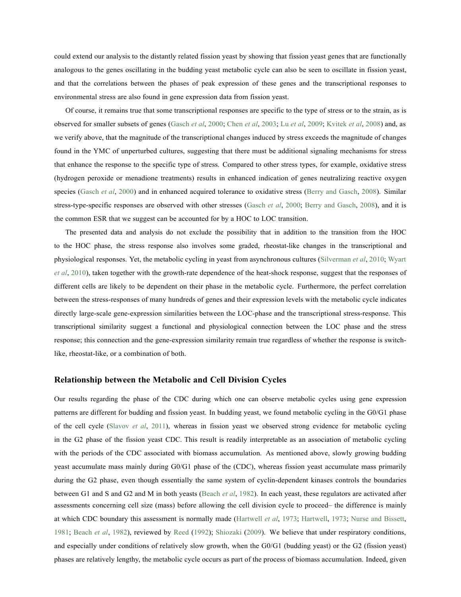could extend our analysis to the distantly related fission yeast by showing that fission yeast genes that are functionally analogous to the genes oscillating in the budding yeast metabolic cycle can also be seen to oscillate in fission yeast, and that the correlations between the phases of peak expression of these genes and the transcriptional responses to environmental stress are also found in gene expression data from fission yeast.

Of course, it remains true that some transcriptional responses are specific to the type of stress or to the strain, as is observed for smaller subsets of genes (Gasch *et al*, 2000; Chen *et al*, 2003; Lu *et al*, 2009; Kvitek *et al*, 2008) and, as we verify above, that the magnitude of the transcriptional changes induced by stress exceeds the magnitude of changes found in the YMC of unperturbed cultures, suggesting that there must be additional signaling mechanisms for stress that enhance the response to the specific type of stress. Compared to other stress types, for example, oxidative stress (hydrogen peroxide or menadione treatments) results in enhanced indication of genes neutralizing reactive oxygen species (Gasch *et al.* 2000) and in enhanced acquired tolerance to oxidative stress (Berry and Gasch, 2008). Similar stress-type-specific responses are observed with other stresses (Gasch *et al*, 2000; Berry and Gasch, 2008), and it is the common ESR that we suggest can be accounted for by a HOC to LOC transition.

The presented data and analysis do not exclude the possibility that in addition to the transition from the HOC to the HOC phase, the stress response also involves some graded, rheostat-like changes in the transcriptional and physiological responses. Yet, the metabolic cycling in yeast from asynchronous cultures (Silverman *et al*, 2010; Wyart *et al*, 2010), taken together with the growth-rate dependence of the heat-shock response, suggest that the responses of different cells are likely to be dependent on their phase in the metabolic cycle. Furthermore, the perfect correlation between the stress-responses of many hundreds of genes and their expression levels with the metabolic cycle indicates directly large-scale gene-expression similarities between the LOC-phase and the transcriptional stress-response. This transcriptional similarity suggest a functional and physiological connection between the LOC phase and the stress response; this connection and the gene-expression similarity remain true regardless of whether the response is switchlike, rheostat-like, or a combination of both.

#### **Relationship between the Metabolic and Cell Division Cycles**

Our results regarding the phase of the CDC during which one can observe metabolic cycles using gene expression patterns are different for budding and fission yeast. In budding yeast, we found metabolic cycling in the G0/G1 phase of the cell cycle (Slavov *et al*, 2011), whereas in fission yeast we observed strong evidence for metabolic cycling in the G2 phase of the fission yeast CDC. This result is readily interpretable as an association of metabolic cycling with the periods of the CDC associated with biomass accumulation. As mentioned above, slowly growing budding yeast accumulate mass mainly during G0/G1 phase of the (CDC), whereas fission yeast accumulate mass primarily during the G2 phase, even though essentially the same system of cyclin-dependent kinases controls the boundaries between G1 and S and G2 and M in both yeasts (Beach *et al*, 1982). In each yeast, these regulators are activated after assessments concerning cell size (mass) before allowing the cell division cycle to proceed– the difference is mainly at which CDC boundary this assessment is normally made (Hartwell *et al*, 1973; Hartwell, 1973; Nurse and Bissett, 1981; Beach *et al*, 1982), reviewed by Reed (1992); Shiozaki (2009). We believe that under respiratory conditions, and especially under conditions of relatively slow growth, when the G0/G1 (budding yeast) or the G2 (fission yeast) phases are relatively lengthy, the metabolic cycle occurs as part of the process of biomass accumulation. Indeed, given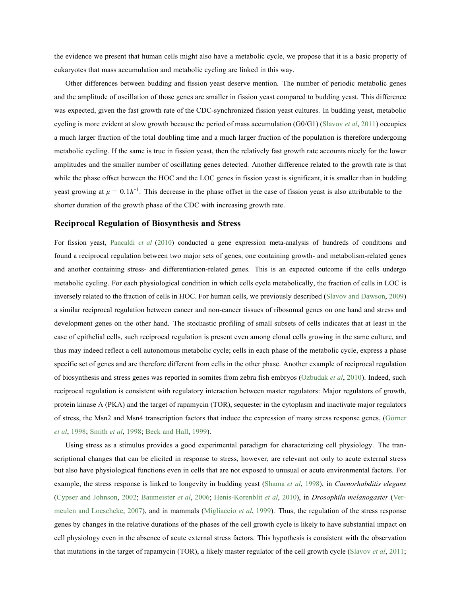the evidence we present that human cells might also have a metabolic cycle, we propose that it is a basic property of eukaryotes that mass accumulation and metabolic cycling are linked in this way.

Other differences between budding and fission yeast deserve mention. The number of periodic metabolic genes and the amplitude of oscillation of those genes are smaller in fission yeast compared to budding yeast. This difference was expected, given the fast growth rate of the CDC-synchronized fission yeast cultures. In budding yeast, metabolic cycling is more evident at slow growth because the period of mass accumulation (G0/G1) (Slavov *et al*, 2011) occupies a much larger fraction of the total doubling time and a much larger fraction of the population is therefore undergoing metabolic cycling. If the same is true in fission yeast, then the relatively fast growth rate accounts nicely for the lower amplitudes and the smaller number of oscillating genes detected. Another difference related to the growth rate is that while the phase offset between the HOC and the LOC genes in fission yeast is significant, it is smaller than in budding yeast growing at  $\mu = 0.1h^{-1}$ . This decrease in the phase offset in the case of fission yeast is also attributable to the shorter duration of the growth phase of the CDC with increasing growth rate.

## **Reciprocal Regulation of Biosynthesis and Stress**

For fission yeast, Pancaldi *et al* (2010) conducted a gene expression meta-analysis of hundreds of conditions and found a reciprocal regulation between two major sets of genes, one containing growth- and metabolism-related genes and another containing stress- and differentiation-related genes. This is an expected outcome if the cells undergo metabolic cycling. For each physiological condition in which cells cycle metabolically, the fraction of cells in LOC is inversely related to the fraction of cells in HOC. For human cells, we previously described (Slavov and Dawson, 2009) a similar reciprocal regulation between cancer and non-cancer tissues of ribosomal genes on one hand and stress and development genes on the other hand. The stochastic profiling of small subsets of cells indicates that at least in the case of epithelial cells, such reciprocal regulation is present even among clonal cells growing in the same culture, and thus may indeed reflect a cell autonomous metabolic cycle; cells in each phase of the metabolic cycle, express a phase specific set of genes and are therefore different from cells in the other phase. Another example of reciprocal regulation of biosynthesis and stress genes was reported in somites from zebra fish embryos (Ozbudak *et al*, 2010). Indeed, such reciprocal regulation is consistent with regulatory interaction between master regulators: Major regulators of growth, protein kinase A (PKA) and the target of rapamycin (TOR), sequester in the cytoplasm and inactivate major regulators of stress, the Msn2 and Msn4 transcription factors that induce the expression of many stress response genes, (Görner *et al*, 1998; Smith *et al*, 1998; Beck and Hall, 1999).

Using stress as a stimulus provides a good experimental paradigm for characterizing cell physiology. The transcriptional changes that can be elicited in response to stress, however, are relevant not only to acute external stress but also have physiological functions even in cells that are not exposed to unusual or acute environmental factors. For example, the stress response is linked to longevity in budding yeast (Shama *et al*, 1998), in *Caenorhabditis elegans*  (Cypser and Johnson, 2002; Baumeister *et al*, 2006; Henis-Korenblit *et al*, 2010), in *Drosophila melanogaster* (Vermeulen and Loeschcke, 2007), and in mammals (Migliaccio *et al*, 1999). Thus, the regulation of the stress response genes by changes in the relative durations of the phases of the cell growth cycle is likely to have substantial impact on cell physiology even in the absence of acute external stress factors. This hypothesis is consistent with the observation that mutations in the target of rapamycin (TOR), a likely master regulator of the cell growth cycle (Slavov *et al*, 2011;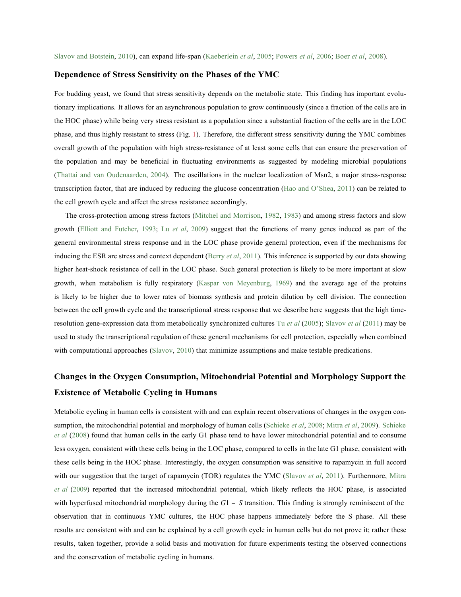## **Dependence of Stress Sensitivity on the Phases of the YMC**

For budding yeast, we found that stress sensitivity depends on the metabolic state. This finding has important evolutionary implications. It allows for an asynchronous population to grow continuously (since a fraction of the cells are in the HOC phase) while being very stress resistant as a population since a substantial fraction of the cells are in the LOC phase, and thus highly resistant to stress (Fig. 1). Therefore, the different stress sensitivity during the YMC combines overall growth of the population with high stress-resistance of at least some cells that can ensure the preservation of the population and may be beneficial in fluctuating environments as suggested by modeling microbial populations (Thattai and van Oudenaarden, 2004). The oscillations in the nuclear localization of Msn2, a major stress-response transcription factor, that are induced by reducing the glucose concentration (Hao and O'Shea, 2011) can be related to the cell growth cycle and affect the stress resistance accordingly.

The cross-protection among stress factors (Mitchel and Morrison, 1982, 1983) and among stress factors and slow growth (Elliott and Futcher, 1993; Lu *et al*, 2009) suggest that the functions of many genes induced as part of the general environmental stress response and in the LOC phase provide general protection, even if the mechanisms for inducing the ESR are stress and context dependent (Berry *et al*, 2011). This inference is supported by our data showing higher heat-shock resistance of cell in the LOC phase. Such general protection is likely to be more important at slow growth, when metabolism is fully respiratory (Kaspar von Meyenburg, 1969) and the average age of the proteins is likely to be higher due to lower rates of biomass synthesis and protein dilution by cell division. The connection between the cell growth cycle and the transcriptional stress response that we describe here suggests that the high timeresolution gene-expression data from metabolically synchronized cultures Tu *et al* (2005); Slavov *et al* (2011) may be used to study the transcriptional regulation of these general mechanisms for cell protection, especially when combined with computational approaches (Slavov, 2010) that minimize assumptions and make testable predications.

## **Changes in the Oxygen Consumption, Mitochondrial Potential and Morphology Support the Existence of Metabolic Cycling in Humans**

Metabolic cycling in human cells is consistent with and can explain recent observations of changes in the oxygen consumption, the mitochondrial potential and morphology of human cells (Schieke *et al*, 2008; Mitra *et al*, 2009). Schieke *et al* (2008) found that human cells in the early G1 phase tend to have lower mitochondrial potential and to consume less oxygen, consistent with these cells being in the LOC phase, compared to cells in the late G1 phase, consistent with these cells being in the HOC phase. Interestingly, the oxygen consumption was sensitive to rapamycin in full accord with our suggestion that the target of rapamycin (TOR) regulates the YMC (Slavov *et al*, 2011). Furthermore, Mitra *et al* (2009) reported that the increased mitochondrial potential, which likely reflects the HOC phase, is associated with hyperfused mitochondrial morphology during the  $G1 - S$  transition. This finding is strongly reminiscent of the observation that in continuous YMC cultures, the HOC phase happens immediately before the S phase. All these results are consistent with and can be explained by a cell growth cycle in human cells but do not prove it; rather these results, taken together, provide a solid basis and motivation for future experiments testing the observed connections and the conservation of metabolic cycling in humans.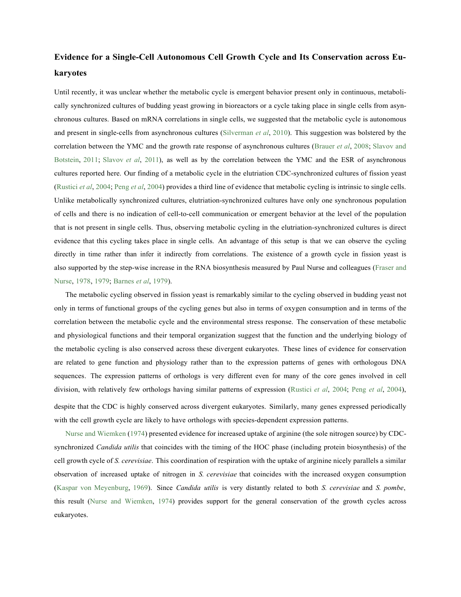# **Evidence for a Single-Cell Autonomous Cell Growth Cycle and Its Conservation across Eukaryotes**

Until recently, it was unclear whether the metabolic cycle is emergent behavior present only in continuous, metabolically synchronized cultures of budding yeast growing in bioreactors or a cycle taking place in single cells from asynchronous cultures. Based on mRNA correlations in single cells, we suggested that the metabolic cycle is autonomous and present in single-cells from asynchronous cultures (Silverman *et al*, 2010). This suggestion was bolstered by the correlation between the YMC and the growth rate response of asynchronous cultures (Brauer *et al*, 2008; Slavov and Botstein, 2011; Slavov *et al*, 2011), as well as by the correlation between the YMC and the ESR of asynchronous cultures reported here. Our finding of a metabolic cycle in the elutriation CDC-synchronized cultures of fission yeast (Rustici *et al*, 2004; Peng *et al*, 2004) provides a third line of evidence that metabolic cycling is intrinsic to single cells. Unlike metabolically synchronized cultures, elutriation-synchronized cultures have only one synchronous population of cells and there is no indication of cell-to-cell communication or emergent behavior at the level of the population that is not present in single cells. Thus, observing metabolic cycling in the elutriation-synchronized cultures is direct evidence that this cycling takes place in single cells. An advantage of this setup is that we can observe the cycling directly in time rather than infer it indirectly from correlations. The existence of a growth cycle in fission yeast is also supported by the step-wise increase in the RNA biosynthesis measured by Paul Nurse and colleagues (Fraser and Nurse, 1978, 1979; Barnes *et al*, 1979).

The metabolic cycling observed in fission yeast is remarkably similar to the cycling observed in budding yeast not only in terms of functional groups of the cycling genes but also in terms of oxygen consumption and in terms of the correlation between the metabolic cycle and the environmental stress response. The conservation of these metabolic and physiological functions and their temporal organization suggest that the function and the underlying biology of the metabolic cycling is also conserved across these divergent eukaryotes. These lines of evidence for conservation are related to gene function and physiology rather than to the expression patterns of genes with orthologous DNA sequences. The expression patterns of orthologs is very different even for many of the core genes involved in cell division, with relatively few orthologs having similar patterns of expression (Rustici *et al*, 2004; Peng *et al*, 2004), despite that the CDC is highly conserved across divergent eukaryotes. Similarly, many genes expressed periodically

Nurse and Wiemken (1974) presented evidence for increased uptake of arginine (the sole nitrogen source) by CDCsynchronized *Candida utilis* that coincides with the timing of the HOC phase (including protein biosynthesis) of the cell growth cycle of *S. cerevisiae*. This coordination of respiration with the uptake of arginine nicely parallels a similar observation of increased uptake of nitrogen in *S. cerevisiae* that coincides with the increased oxygen consumption (Kaspar von Meyenburg, 1969). Since *Candida utilis* is very distantly related to both *S. cerevisiae* and *S. pombe*, this result (Nurse and Wiemken, 1974) provides support for the general conservation of the growth cycles across eukaryotes.

with the cell growth cycle are likely to have orthologs with species-dependent expression patterns.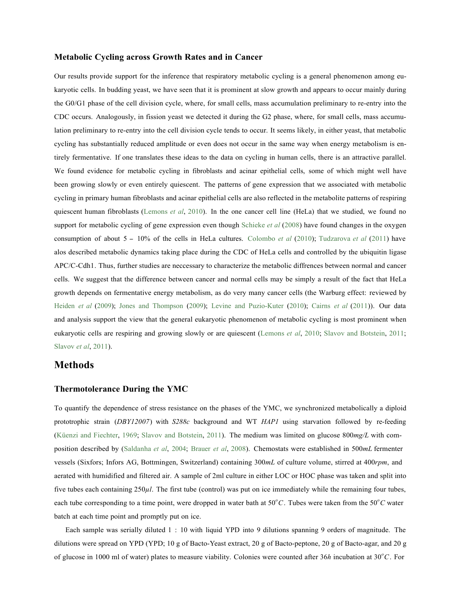## **Metabolic Cycling across Growth Rates and in Cancer**

Our results provide support for the inference that respiratory metabolic cycling is a general phenomenon among eukaryotic cells. In budding yeast, we have seen that it is prominent at slow growth and appears to occur mainly during the G0/G1 phase of the cell division cycle, where, for small cells, mass accumulation preliminary to re-entry into the CDC occurs. Analogously, in fission yeast we detected it during the G2 phase, where, for small cells, mass accumulation preliminary to re-entry into the cell division cycle tends to occur. It seems likely, in either yeast, that metabolic cycling has substantially reduced amplitude or even does not occur in the same way when energy metabolism is entirely fermentative. If one translates these ideas to the data on cycling in human cells, there is an attractive parallel. We found evidence for metabolic cycling in fibroblasts and acinar epithelial cells, some of which might well have been growing slowly or even entirely quiescent. The patterns of gene expression that we associated with metabolic cycling in primary human fibroblasts and acinar epithelial cells are also reflected in the metabolite patterns of respiring quiescent human fibroblasts (Lemons *et al*, 2010). In the one cancer cell line (HeLa) that we studied, we found no support for metabolic cycling of gene expression even though Schieke *et al* (2008) have found changes in the oxygen consumption of about 5 *-* 10% of the cells in HeLa cultures. Colombo *et al* (2010); Tudzarova *et al* (2011) have alos described metabolic dynamics taking place during the CDC of HeLa cells and controlled by the ubiquitin ligase APC/C-Cdh1. Thus, further studies are neccessary to characterize the metabolic diffrences between normal and cancer cells. We suggest that the difference between cancer and normal cells may be simply a result of the fact that HeLa growth depends on fermentative energy metabolism, as do very many cancer cells (the Warburg effect: reviewed by Heiden *et al* (2009); Jones and Thompson (2009); Levine and Puzio-Kuter (2010); Cairns *et al* (2011)). Our data and analysis support the view that the general eukaryotic phenomenon of metabolic cycling is most prominent when eukaryotic cells are respiring and growing slowly or are quiescent (Lemons *et al*, 2010; Slavov and Botstein, 2011; Slavov *et al*, 2011).

## **Methods**

### **Thermotolerance During the YMC**

To quantify the dependence of stress resistance on the phases of the YMC, we synchronized metabolically a diploid prototrophic strain (*DBY12007*) with *S288c* background and WT *HAP1* using starvation followed by re-feeding (Küenzi and Fiechter, 1969; Slavov and Botstein, 2011). The medium was limited on glucose 800*mg/L* with composition described by (Saldanha *et al*, 2004; Brauer *et al*, 2008). Chemostats were established in 500*mL* fermenter vessels (Sixfors; Infors AG, Bottmingen, Switzerland) containing 300*mL* of culture volume, stirred at 400*rpm*, and aerated with humidified and filtered air. A sample of 2ml culture in either LOC or HOC phase was taken and split into five tubes each containing 250*µl*. The first tube (control) was put on ice immediately while the remaining four tubes, each tube corresponding to a time point, were dropped in water bath at 50°C. Tubes were taken from the 50°C water batch at each time point and promptly put on ice.

Each sample was serially diluted 1 : 10 with liquid YPD into 9 dilutions spanning 9 orders of magnitude. The dilutions were spread on YPD (YPD; 10 g of Bacto-Yeast extract, 20 g of Bacto-peptone, 20 g of Bacto-agar, and 20 g of glucose in 1000 ml of water) plates to measure viability. Colonies were counted after 36*h* incubation at 30*<sup>o</sup> C*. For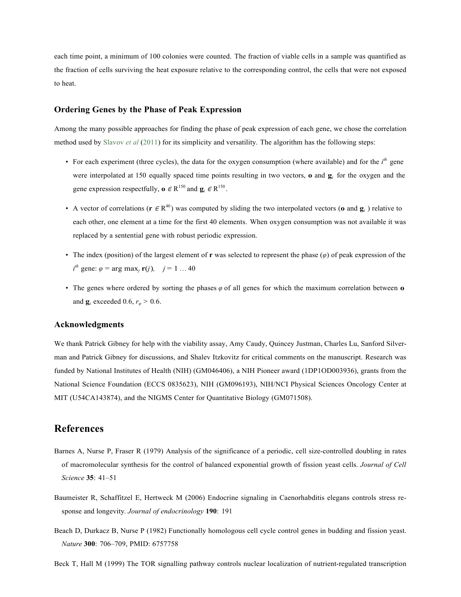each time point, a minimum of 100 colonies were counted. The fraction of viable cells in a sample was quantified as the fraction of cells surviving the heat exposure relative to the corresponding control, the cells that were not exposed to heat.

## **Ordering Genes by the Phase of Peak Expression**

Among the many possible approaches for finding the phase of peak expression of each gene, we chose the correlation method used by Slavov *et al* (2011) for its simplicity and versatility. The algorithm has the following steps:

- For each experiment (three cycles), the data for the oxygen consumption (where available) and for the *i th* gene were interpolated at 150 equally spaced time points resulting in two vectors, **o** and **g***i* for the oxygen and the gene expression respectfully,  $\mathbf{o} \in \mathbb{R}^{150}$  and  $\mathbf{g}_i \in \mathbb{R}^{150}$ .
- A vector of correlations ( $\mathbf{r} \in \mathbb{R}^{40}$ ) was computed by sliding the two interpolated vectors (**o** and  $\mathbf{g}_i$ ) relative to each other, one element at a time for the first 40 elements. When oxygen consumption was not available it was replaced by a sentential gene with robust periodic expression.
- The index (position) of the largest element of **r** was selected to represent the phase (*φ*) of peak expression of the  $i^{th}$  gene:  $\varphi = \arg \max_j \mathbf{r}(j)$ ,  $j = 1 ... 40$
- The genes where ordered by sorting the phases *φ* of all genes for which the maximum correlation between **o**  and  $\mathbf{g}_i$  exceeded 0.6,  $r_\varphi > 0.6$ .

## **Acknowledgments**

We thank Patrick Gibney for help with the viability assay, Amy Caudy, Quincey Justman, Charles Lu, Sanford Silverman and Patrick Gibney for discussions, and Shalev Itzkovitz for critical comments on the manuscript. Research was funded by National Institutes of Health (NIH) (GM046406), a NIH Pioneer award (1DP1OD003936), grants from the National Science Foundation (ECCS 0835623), NIH (GM096193), NIH/NCI Physical Sciences Oncology Center at MIT (U54CA143874), and the NIGMS Center for Quantitative Biology (GM071508).

## **References**

- Barnes A, Nurse P, Fraser R (1979) Analysis of the significance of a periodic, cell size-controlled doubling in rates of macromolecular synthesis for the control of balanced exponential growth of fission yeast cells. *Journal of Cell Science* **35**: 41–51
- Baumeister R, Schaffitzel E, Hertweck M (2006) Endocrine signaling in Caenorhabditis elegans controls stress response and longevity. *Journal of endocrinology* **190**: 191
- Beach D, Durkacz B, Nurse P (1982) Functionally homologous cell cycle control genes in budding and fission yeast. *Nature* **300**: 706–709, PMID: 6757758

Beck T, Hall M (1999) The TOR signalling pathway controls nuclear localization of nutrient-regulated transcription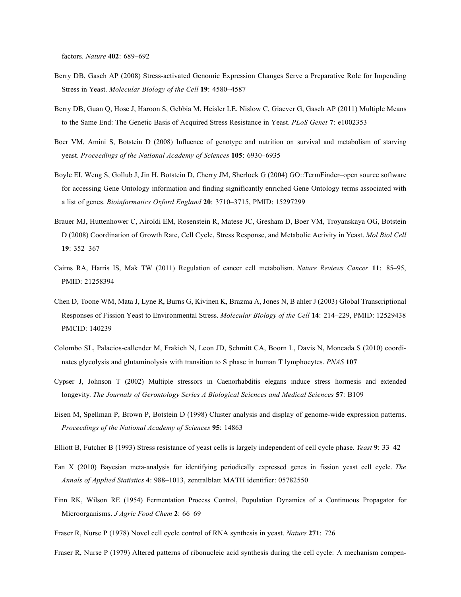factors. *Nature* **402**: 689–692

- Berry DB, Gasch AP (2008) Stress-activated Genomic Expression Changes Serve a Preparative Role for Impending Stress in Yeast. *Molecular Biology of the Cell* **19**: 4580–4587
- Berry DB, Guan Q, Hose J, Haroon S, Gebbia M, Heisler LE, Nislow C, Giaever G, Gasch AP (2011) Multiple Means to the Same End: The Genetic Basis of Acquired Stress Resistance in Yeast. *PLoS Genet* **7**: e1002353
- Boer VM, Amini S, Botstein D (2008) Influence of genotype and nutrition on survival and metabolism of starving yeast. *Proceedings of the National Academy of Sciences* **105**: 6930–6935
- Boyle EI, Weng S, Gollub J, Jin H, Botstein D, Cherry JM, Sherlock G (2004) GO::TermFinder–open source software for accessing Gene Ontology information and finding significantly enriched Gene Ontology terms associated with a list of genes. *Bioinformatics Oxford England* **20**: 3710–3715, PMID: 15297299
- Brauer MJ, Huttenhower C, Airoldi EM, Rosenstein R, Matese JC, Gresham D, Boer VM, Troyanskaya OG, Botstein D (2008) Coordination of Growth Rate, Cell Cycle, Stress Response, and Metabolic Activity in Yeast. *Mol Biol Cell*  **19**: 352–367
- Cairns RA, Harris IS, Mak TW (2011) Regulation of cancer cell metabolism. *Nature Reviews Cancer* **11**: 85–95, PMID: 21258394
- Chen D, Toone WM, Mata J, Lyne R, Burns G, Kivinen K, Brazma A, Jones N, B ahler J (2003) Global Transcriptional Responses of Fission Yeast to Environmental Stress. *Molecular Biology of the Cell* **14**: 214–229, PMID: 12529438 PMCID: 140239
- Colombo SL, Palacios-callender M, Frakich N, Leon JD, Schmitt CA, Boorn L, Davis N, Moncada S (2010) coordinates glycolysis and glutaminolysis with transition to S phase in human T lymphocytes. *PNAS* **107**
- Cypser J, Johnson T (2002) Multiple stressors in Caenorhabditis elegans induce stress hormesis and extended longevity. *The Journals of Gerontology Series A Biological Sciences and Medical Sciences* **57**: B109
- Eisen M, Spellman P, Brown P, Botstein D (1998) Cluster analysis and display of genome-wide expression patterns. *Proceedings of the National Academy of Sciences* **95**: 14863
- Elliott B, Futcher B (1993) Stress resistance of yeast cells is largely independent of cell cycle phase. *Yeast* **9**: 33–42
- Fan X (2010) Bayesian meta-analysis for identifying periodically expressed genes in fission yeast cell cycle. *The Annals of Applied Statistics* **4**: 988–1013, zentralblatt MATH identifier: 05782550
- Finn RK, Wilson RE (1954) Fermentation Process Control, Population Dynamics of a Continuous Propagator for Microorganisms. *J Agric Food Chem* **2**: 66–69
- Fraser R, Nurse P (1978) Novel cell cycle control of RNA synthesis in yeast. *Nature* **271**: 726

Fraser R, Nurse P (1979) Altered patterns of ribonucleic acid synthesis during the cell cycle: A mechanism compen-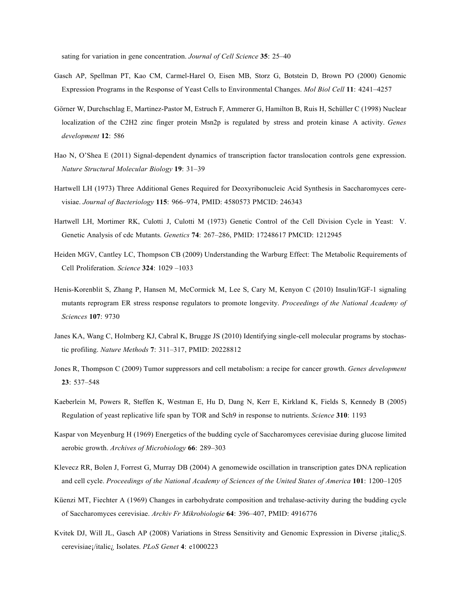sating for variation in gene concentration. *Journal of Cell Science* **35**: 25–40

- Gasch AP, Spellman PT, Kao CM, Carmel-Harel O, Eisen MB, Storz G, Botstein D, Brown PO (2000) Genomic Expression Programs in the Response of Yeast Cells to Environmental Changes. *Mol Biol Cell* **11**: 4241–4257
- Görner W, Durchschlag E, Martinez-Pastor M, Estruch F, Ammerer G, Hamilton B, Ruis H, Schüller C (1998) Nuclear localization of the C2H2 zinc finger protein Msn2p is regulated by stress and protein kinase A activity. *Genes development* **12**: 586
- Hao N, O'Shea E (2011) Signal-dependent dynamics of transcription factor translocation controls gene expression. *Nature Structural Molecular Biology* **19**: 31–39
- Hartwell LH (1973) Three Additional Genes Required for Deoxyribonucleic Acid Synthesis in Saccharomyces cerevisiae. *Journal of Bacteriology* **115**: 966–974, PMID: 4580573 PMCID: 246343
- Hartwell LH, Mortimer RK, Culotti J, Culotti M (1973) Genetic Control of the Cell Division Cycle in Yeast: V. Genetic Analysis of cdc Mutants. *Genetics* **74**: 267–286, PMID: 17248617 PMCID: 1212945
- Heiden MGV, Cantley LC, Thompson CB (2009) Understanding the Warburg Effect: The Metabolic Requirements of Cell Proliferation. *Science* **324**: 1029 –1033
- Henis-Korenblit S, Zhang P, Hansen M, McCormick M, Lee S, Cary M, Kenyon C (2010) Insulin/IGF-1 signaling mutants reprogram ER stress response regulators to promote longevity. *Proceedings of the National Academy of Sciences* **107**: 9730
- Janes KA, Wang C, Holmberg KJ, Cabral K, Brugge JS (2010) Identifying single-cell molecular programs by stochastic profiling. *Nature Methods* **7**: 311–317, PMID: 20228812
- Jones R, Thompson C (2009) Tumor suppressors and cell metabolism: a recipe for cancer growth. *Genes development*  **23**: 537–548
- Kaeberlein M, Powers R, Steffen K, Westman E, Hu D, Dang N, Kerr E, Kirkland K, Fields S, Kennedy B (2005) Regulation of yeast replicative life span by TOR and Sch9 in response to nutrients. *Science* **310**: 1193
- Kaspar von Meyenburg H (1969) Energetics of the budding cycle of Saccharomyces cerevisiae during glucose limited aerobic growth. *Archives of Microbiology* **66**: 289–303
- Klevecz RR, Bolen J, Forrest G, Murray DB (2004) A genomewide oscillation in transcription gates DNA replication and cell cycle. *Proceedings of the National Academy of Sciences of the United States of America* **101**: 1200–1205
- Küenzi MT, Fiechter A (1969) Changes in carbohydrate composition and trehalase-activity during the budding cycle of Saccharomyces cerevisiae. *Archiv Fr Mikrobiologie* **64**: 396–407, PMID: 4916776
- Kvitek DJ, Will JL, Gasch AP (2008) Variations in Stress Sensitivity and Genomic Expression in Diverse ¡italic¿S. cerevisiae¡/italic¿ Isolates. *PLoS Genet* **4**: e1000223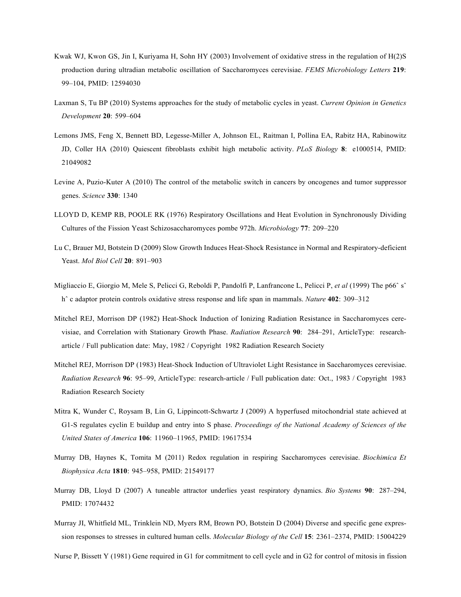- Kwak WJ, Kwon GS, Jin I, Kuriyama H, Sohn HY (2003) Involvement of oxidative stress in the regulation of H(2)S production during ultradian metabolic oscillation of Saccharomyces cerevisiae. *FEMS Microbiology Letters* **219**: 99–104, PMID: 12594030
- Laxman S, Tu BP (2010) Systems approaches for the study of metabolic cycles in yeast. *Current Opinion in Genetics Development* **20**: 599–604
- Lemons JMS, Feng X, Bennett BD, Legesse-Miller A, Johnson EL, Raitman I, Pollina EA, Rabitz HA, Rabinowitz JD, Coller HA (2010) Quiescent fibroblasts exhibit high metabolic activity. *PLoS Biology* **8**: e1000514, PMID: 21049082
- Levine A, Puzio-Kuter A (2010) The control of the metabolic switch in cancers by oncogenes and tumor suppressor genes. *Science* **330**: 1340
- LLOYD D, KEMP RB, POOLE RK (1976) Respiratory Oscillations and Heat Evolution in Synchronously Dividing Cultures of the Fission Yeast Schizosaccharomyces pombe 972h. *Microbiology* **77**: 209–220
- Lu C, Brauer MJ, Botstein D (2009) Slow Growth Induces Heat-Shock Resistance in Normal and Respiratory-deficient Yeast. *Mol Biol Cell* **20**: 891–903
- Migliaccio E, Giorgio M, Mele S, Pelicci G, Reboldi P, Pandolfi P, Lanfrancone L, Pelicci P, *et al* (1999) The p66ˆ sˆ hˆ c adaptor protein controls oxidative stress response and life span in mammals. *Nature* **402**: 309–312
- Mitchel REJ, Morrison DP (1982) Heat-Shock Induction of Ionizing Radiation Resistance in Saccharomyces cerevisiae, and Correlation with Stationary Growth Phase. *Radiation Research* **90**: 284–291, ArticleType: researcharticle / Full publication date: May, 1982 / Copyright 1982 Radiation Research Society
- Mitchel REJ, Morrison DP (1983) Heat-Shock Induction of Ultraviolet Light Resistance in Saccharomyces cerevisiae. *Radiation Research* **96**: 95–99, ArticleType: research-article / Full publication date: Oct., 1983 / Copyright 1983 Radiation Research Society
- Mitra K, Wunder C, Roysam B, Lin G, Lippincott-Schwartz J (2009) A hyperfused mitochondrial state achieved at G1-S regulates cyclin E buildup and entry into S phase. *Proceedings of the National Academy of Sciences of the United States of America* **106**: 11960–11965, PMID: 19617534
- Murray DB, Haynes K, Tomita M (2011) Redox regulation in respiring Saccharomyces cerevisiae. *Biochimica Et Biophysica Acta* **1810**: 945–958, PMID: 21549177
- Murray DB, Lloyd D (2007) A tuneable attractor underlies yeast respiratory dynamics. *Bio Systems* **90**: 287–294, PMID: 17074432
- Murray JI, Whitfield ML, Trinklein ND, Myers RM, Brown PO, Botstein D (2004) Diverse and specific gene expression responses to stresses in cultured human cells. *Molecular Biology of the Cell* **15**: 2361–2374, PMID: 15004229

Nurse P, Bissett Y (1981) Gene required in G1 for commitment to cell cycle and in G2 for control of mitosis in fission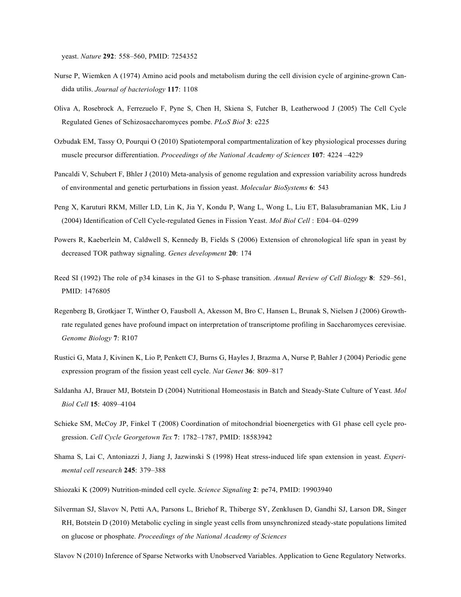yeast. *Nature* **292**: 558–560, PMID: 7254352

- Nurse P, Wiemken A (1974) Amino acid pools and metabolism during the cell division cycle of arginine-grown Candida utilis. *Journal of bacteriology* **117**: 1108
- Oliva A, Rosebrock A, Ferrezuelo F, Pyne S, Chen H, Skiena S, Futcher B, Leatherwood J (2005) The Cell Cycle Regulated Genes of Schizosaccharomyces pombe. *PLoS Biol* **3**: e225
- Ozbudak EM, Tassy O, Pourqui O (2010) Spatiotemporal compartmentalization of key physiological processes during muscle precursor differentiation. *Proceedings of the National Academy of Sciences* **107**: 4224 –4229
- Pancaldi V, Schubert F, Bhler J (2010) Meta-analysis of genome regulation and expression variability across hundreds of environmental and genetic perturbations in fission yeast. *Molecular BioSystems* **6**: 543
- Peng X, Karuturi RKM, Miller LD, Lin K, Jia Y, Kondu P, Wang L, Wong L, Liu ET, Balasubramanian MK, Liu J (2004) Identification of Cell Cycle-regulated Genes in Fission Yeast. *Mol Biol Cell* : E04–04–0299
- Powers R, Kaeberlein M, Caldwell S, Kennedy B, Fields S (2006) Extension of chronological life span in yeast by decreased TOR pathway signaling. *Genes development* **20**: 174
- Reed SI (1992) The role of p34 kinases in the G1 to S-phase transition. *Annual Review of Cell Biology* **8**: 529–561, PMID: 1476805
- Regenberg B, Grotkjaer T, Winther O, Fausboll A, Akesson M, Bro C, Hansen L, Brunak S, Nielsen J (2006) Growthrate regulated genes have profound impact on interpretation of transcriptome profiling in Saccharomyces cerevisiae. *Genome Biology* **7**: R107
- Rustici G, Mata J, Kivinen K, Lio P, Penkett CJ, Burns G, Hayles J, Brazma A, Nurse P, Bahler J (2004) Periodic gene expression program of the fission yeast cell cycle. *Nat Genet* **36**: 809–817
- Saldanha AJ, Brauer MJ, Botstein D (2004) Nutritional Homeostasis in Batch and Steady-State Culture of Yeast. *Mol Biol Cell* **15**: 4089–4104
- Schieke SM, McCoy JP, Finkel T (2008) Coordination of mitochondrial bioenergetics with G1 phase cell cycle progression. *Cell Cycle Georgetown Tex* **7**: 1782–1787, PMID: 18583942
- Shama S, Lai C, Antoniazzi J, Jiang J, Jazwinski S (1998) Heat stress-induced life span extension in yeast. *Experimental cell research* **245**: 379–388
- Shiozaki K (2009) Nutrition-minded cell cycle. *Science Signaling* **2**: pe74, PMID: 19903940
- Silverman SJ, Slavov N, Petti AA, Parsons L, Briehof R, Thiberge SY, Zenklusen D, Gandhi SJ, Larson DR, Singer RH, Botstein D (2010) Metabolic cycling in single yeast cells from unsynchronized steady-state populations limited on glucose or phosphate. *Proceedings of the National Academy of Sciences*
- Slavov N (2010) Inference of Sparse Networks with Unobserved Variables. Application to Gene Regulatory Networks.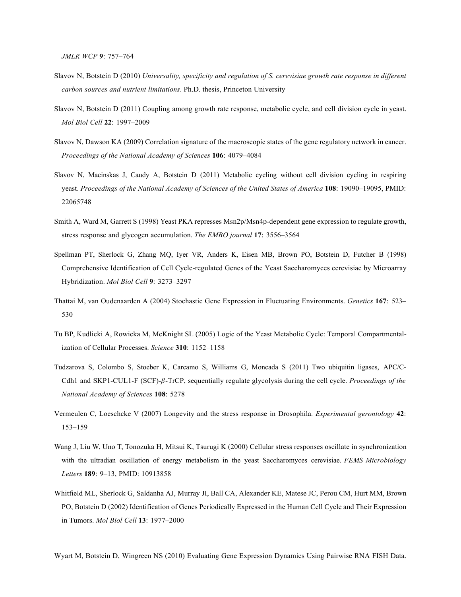- Slavov N, Botstein D (2010) *Universality, specificity and regulation of S. cerevisiae growth rate response in different carbon sources and nutrient limitations*. Ph.D. thesis, Princeton University
- Slavov N, Botstein D (2011) Coupling among growth rate response, metabolic cycle, and cell division cycle in yeast. *Mol Biol Cell* **22**: 1997–2009
- Slavov N, Dawson KA (2009) Correlation signature of the macroscopic states of the gene regulatory network in cancer. *Proceedings of the National Academy of Sciences* **106**: 4079–4084
- Slavov N, Macinskas J, Caudy A, Botstein D (2011) Metabolic cycling without cell division cycling in respiring yeast. *Proceedings of the National Academy of Sciences of the United States of America* **108**: 19090–19095, PMID: 22065748
- Smith A, Ward M, Garrett S (1998) Yeast PKA represses Msn2p/Msn4p-dependent gene expression to regulate growth, stress response and glycogen accumulation. *The EMBO journal* **17**: 3556–3564
- Spellman PT, Sherlock G, Zhang MQ, Iyer VR, Anders K, Eisen MB, Brown PO, Botstein D, Futcher B (1998) Comprehensive Identification of Cell Cycle-regulated Genes of the Yeast Saccharomyces cerevisiae by Microarray Hybridization. *Mol Biol Cell* **9**: 3273–3297
- Thattai M, van Oudenaarden A (2004) Stochastic Gene Expression in Fluctuating Environments. *Genetics* **167**: 523– 530
- Tu BP, Kudlicki A, Rowicka M, McKnight SL (2005) Logic of the Yeast Metabolic Cycle: Temporal Compartmentalization of Cellular Processes. *Science* **310**: 1152–1158
- Tudzarova S, Colombo S, Stoeber K, Carcamo S, Williams G, Moncada S (2011) Two ubiquitin ligases, APC/C-Cdh1 and SKP1-CUL1-F (SCF)-*β*-TrCP, sequentially regulate glycolysis during the cell cycle. *Proceedings of the National Academy of Sciences* **108**: 5278
- Vermeulen C, Loeschcke V (2007) Longevity and the stress response in Drosophila. *Experimental gerontology* **42**: 153–159
- Wang J, Liu W, Uno T, Tonozuka H, Mitsui K, Tsurugi K (2000) Cellular stress responses oscillate in synchronization with the ultradian oscillation of energy metabolism in the yeast Saccharomyces cerevisiae. *FEMS Microbiology Letters* **189**: 9–13, PMID: 10913858
- Whitfield ML, Sherlock G, Saldanha AJ, Murray JI, Ball CA, Alexander KE, Matese JC, Perou CM, Hurt MM, Brown PO, Botstein D (2002) Identification of Genes Periodically Expressed in the Human Cell Cycle and Their Expression in Tumors. *Mol Biol Cell* **13**: 1977–2000

Wyart M, Botstein D, Wingreen NS (2010) Evaluating Gene Expression Dynamics Using Pairwise RNA FISH Data.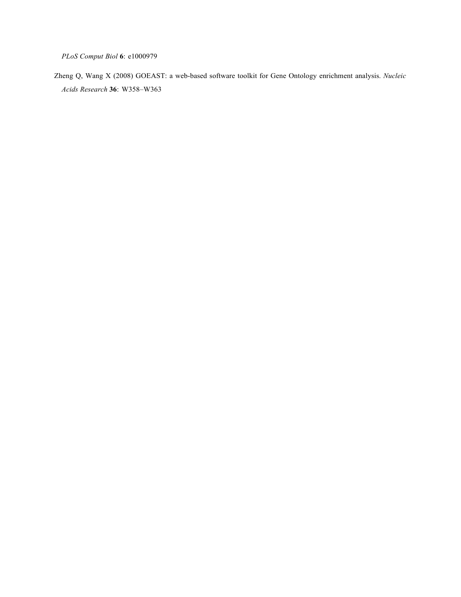*PLoS Comput Biol* **6**: e1000979

Zheng Q, Wang X (2008) GOEAST: a web-based software toolkit for Gene Ontology enrichment analysis. *Nucleic Acids Research* **36**: W358–W363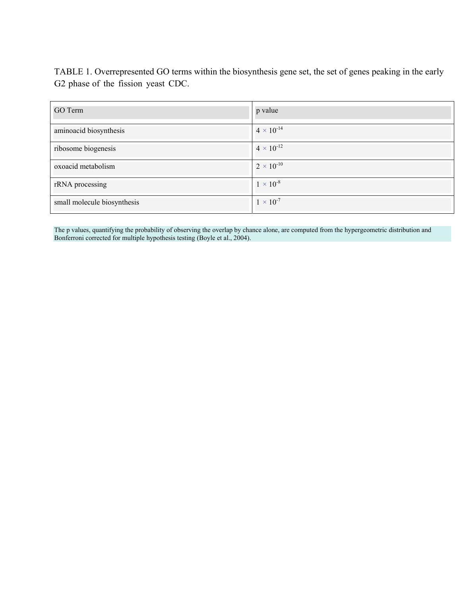TABLE 1. Overrepresented GO terms within the biosynthesis gene set, the set of genes peaking in the early G2 phase of the fission yeast CDC.

| GO Term                     | p value             |
|-----------------------------|---------------------|
| aminoacid biosynthesis      | $4 \times 10^{-14}$ |
| ribosome biogenesis         | $4 \times 10^{-12}$ |
| oxoacid metabolism          | $2 \times 10^{-10}$ |
| rRNA processing             | $1 \times 10^{-8}$  |
| small molecule biosynthesis | $1 \times 10^{-7}$  |

The p values, quantifying the probability of observing the overlap by chance alone, are computed from the hypergeometric distribution and Bonferroni corrected for multiple hypothesis testing (Boyle et al., 2004).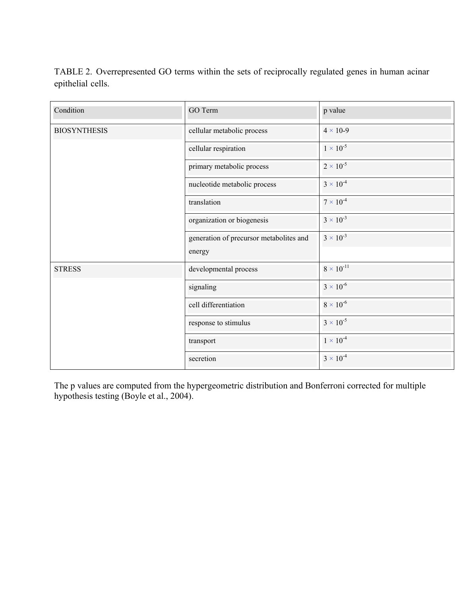TABLE 2. Overrepresented GO terms within the sets of reciprocally regulated genes in human acinar epithelial cells.

| Condition           | GO Term                                 | p value             |
|---------------------|-----------------------------------------|---------------------|
| <b>BIOSYNTHESIS</b> | cellular metabolic process              | $4 \times 10-9$     |
|                     | cellular respiration                    | $1 \times 10^{-5}$  |
|                     | primary metabolic process               | $2 \times 10^{-5}$  |
|                     | nucleotide metabolic process            | $3 \times 10^{-4}$  |
|                     | translation                             | $7 \times 10^{-4}$  |
|                     | organization or biogenesis              | $3 \times 10^{-3}$  |
|                     | generation of precursor metabolites and | $3 \times 10^{-3}$  |
|                     | energy                                  |                     |
| <b>STRESS</b>       | developmental process                   | $8 \times 10^{-11}$ |
|                     | signaling                               | $3 \times 10^{-6}$  |
|                     | cell differentiation                    | $8 \times 10^{-6}$  |
|                     | response to stimulus                    | $3 \times 10^{-5}$  |
|                     | transport                               | $1 \times 10^{-4}$  |
|                     | secretion                               | $3 \times 10^{-4}$  |

The p values are computed from the hypergeometric distribution and Bonferroni corrected for multiple hypothesis testing (Boyle et al., 2004).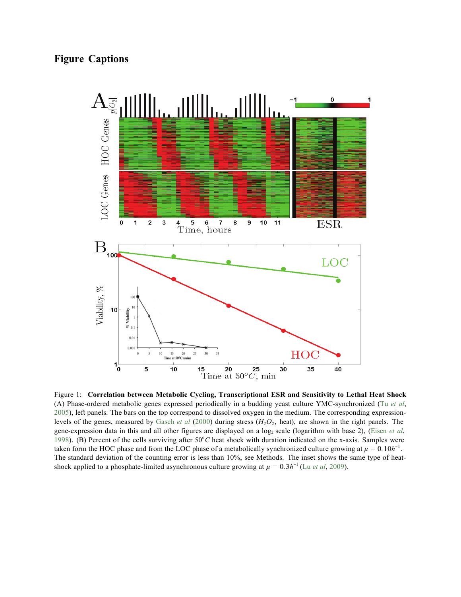

Figure 1: **Correlation between Metabolic Cycling, Transcriptional ESR and Sensitivity to Lethal Heat Shock**  (A) Phase-ordered metabolic genes expressed periodically in a budding yeast culture YMC-synchronized (Tu *et al*, 2005), left panels. The bars on the top correspond to dissolved oxygen in the medium. The corresponding expressionlevels of the genes, measured by Gasch *et al* (2000) during stress (*H*2*O*2, heat), are shown in the right panels. The gene-expression data in this and all other figures are displayed on a log<sub>2</sub> scale (logarithm with base 2), (Eisen et al, 1998). (B) Percent of the cells surviving after 50°C heat shock with duration indicated on the x-axis. Samples were taken form the HOC phase and from the LOC phase of a metabolically synchronized culture growing at  $\mu = 0.10h^{-1}$ . The standard deviation of the counting error is less than 10%, see Methods. The inset shows the same type of heatshock applied to a phosphate-limited asynchronous culture growing at  $\mu = 0.3h^{-1}$  (Lu *et al*, 2009).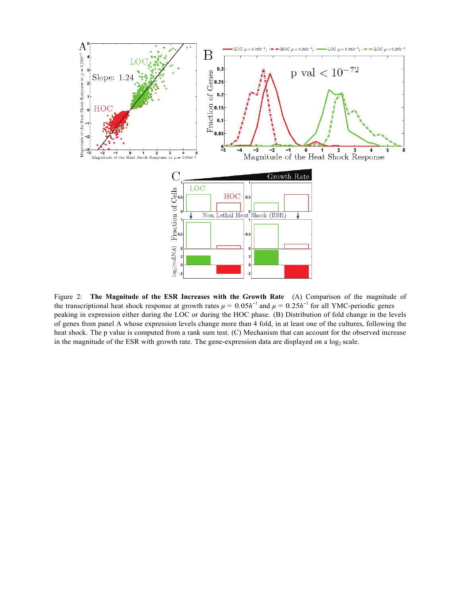

Figure 2: **The Magnitude of the ESR Increases with the Growth Rate** (A) Comparison of the magnitude of the transcriptional heat shock response at growth rates  $\mu = 0.05h^{-1}$  and  $\mu = 0.25h^{-1}$  for all YMC-periodic genes peaking in expression either during the LOC or during the HOC phase. (B) Distribution of fold change in the levels of genes from panel A whose expression levels change more than 4 fold, in at least one of the cultures, following the heat shock. The p value is computed from a rank sum test. (C) Mechanism that can account for the observed increase in the magnitude of the ESR with growth rate. The gene-expression data are displayed on a  $log_2$  scale.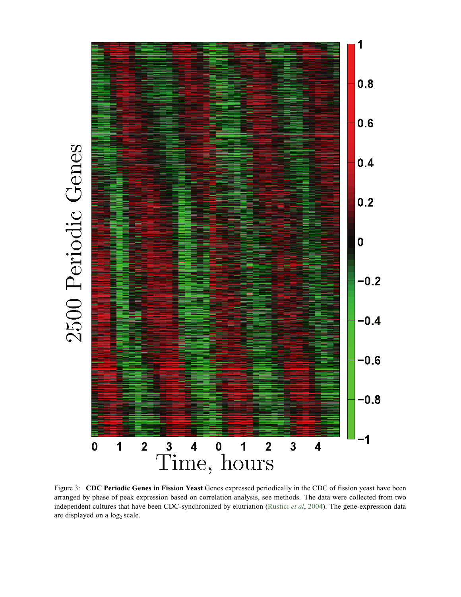

Figure 3: **CDC Periodic Genes in Fission Yeast** Genes expressed periodically in the CDC of fission yeast have been arranged by phase of peak expression based on correlation analysis, see methods. The data were collected from two independent cultures that have been CDC-synchronized by elutriation (Rustici *et al*, 2004). The gene-expression data are displayed on a log<sub>2</sub> scale.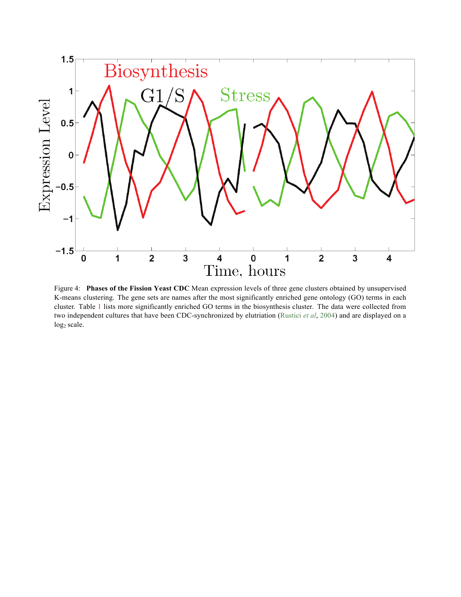

Figure 4: **Phases of the Fission Yeast CDC** Mean expression levels of three gene clusters obtained by unsupervised K-means clustering. The gene sets are names after the most significantly enriched gene ontology (GO) terms in each cluster. Table 1 lists more significantly enriched GO terms in the biosynthesis cluster. The data were collected from two independent cultures that have been CDC-synchronized by elutriation (Rustici *et al*, 2004) and are displayed on a  $log<sub>2</sub> scale.$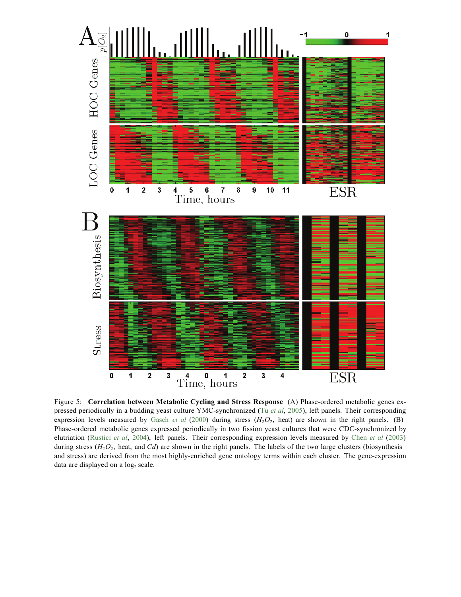

Figure 5: **Correlation between Metabolic Cycling and Stress Response** (A) Phase-ordered metabolic genes expressed periodically in a budding yeast culture YMC-synchronized (Tu *et al*, 2005), left panels. Their corresponding expression levels measured by Gasch *et al* (2000) during stress  $(H_2O_2)$ , heat) are shown in the right panels. (B) Phase-ordered metabolic genes expressed periodically in two fission yeast cultures that were CDC-synchronized by elutriation (Rustici *et al*, 2004), left panels. Their corresponding expression levels measured by Chen *et al* (2003) during stress ( $H_2O_2$ , heat, and *Cd*) are shown in the right panels. The labels of the two large clusters (biosynthesis and stress) are derived from the most highly-enriched gene ontology terms within each cluster. The gene-expression data are displayed on a  $log<sub>2</sub>$  scale.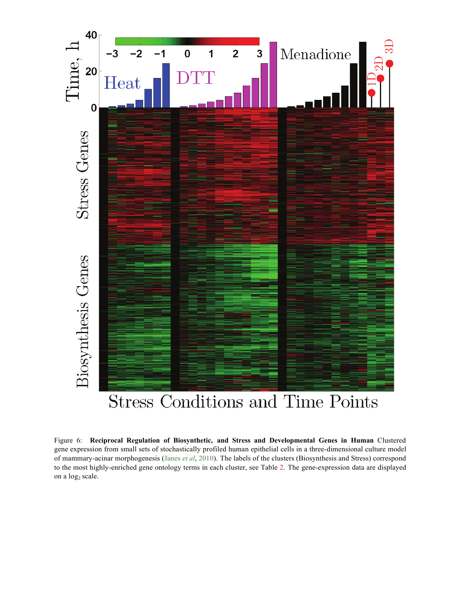

Figure 6: **Reciprocal Regulation of Biosynthetic, and Stress and Developmental Genes in Human** Clustered gene expression from small sets of stochastically profiled human epithelial cells in a three-dimensional culture model of mammary-acinar morphogenesis (Janes *et al*, 2010). The labels of the clusters (Biosynthesis and Stress) correspond to the most highly-enriched gene ontology terms in each cluster, see Table 2. The gene-expression data are displayed on a log<sub>2</sub> scale.